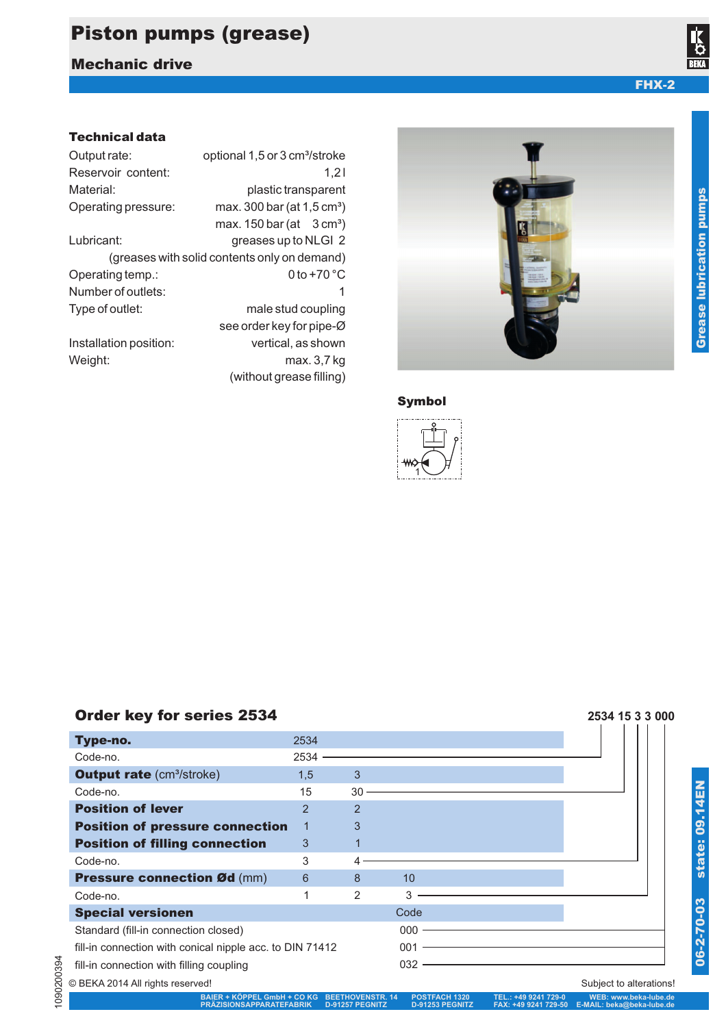## Piston pumps (grease)

### Mechanic drive

#### Technical data

| Output rate:           | optional 1,5 or 3 cm <sup>3</sup> /stroke    |  |  |  |  |  |
|------------------------|----------------------------------------------|--|--|--|--|--|
| Reservoir content:     | 1.21                                         |  |  |  |  |  |
| Material:              | plastic transparent                          |  |  |  |  |  |
| Operating pressure:    | max. 300 bar (at $1,5 \text{ cm}^3$ )        |  |  |  |  |  |
|                        | max. 150 bar (at $3 \text{ cm}^3$ )          |  |  |  |  |  |
| Lubricant:             | greases up to NLGI 2                         |  |  |  |  |  |
|                        | (greases with solid contents only on demand) |  |  |  |  |  |
| Operating temp.:       | 0 to $+70^{\circ}$ C                         |  |  |  |  |  |
| Number of outlets:     | 1                                            |  |  |  |  |  |
| Type of outlet:        | male stud coupling                           |  |  |  |  |  |
|                        | see order key for pipe-Ø                     |  |  |  |  |  |
| Installation position: | vertical, as shown                           |  |  |  |  |  |
| Weight:                | max. 3,7 kg                                  |  |  |  |  |  |

(without grease filling)



Symbol



# Order key for series 2534 **2534 15 3 3 000**

| Type-no.                                                 | 2534           |                |                 |  |                         |  |
|----------------------------------------------------------|----------------|----------------|-----------------|--|-------------------------|--|
| Code-no.                                                 | 2534           |                |                 |  |                         |  |
| <b>Output rate (cm<sup>3</sup>/stroke)</b>               | 1,5            | 3              |                 |  |                         |  |
| Code-no.                                                 | 15             | 30             |                 |  |                         |  |
| <b>Position of lever</b>                                 | $\overline{2}$ | $\overline{2}$ |                 |  |                         |  |
| <b>Position of pressure connection</b>                   |                | 3              |                 |  |                         |  |
| <b>Position of filling connection</b>                    | 3              |                |                 |  |                         |  |
| Code-no.                                                 | 3              |                |                 |  |                         |  |
| <b>Pressure connection Ød (mm)</b>                       | $6\phantom{1}$ | 8              | 10 <sup>1</sup> |  |                         |  |
| Code-no.                                                 |                | 2              | 3               |  |                         |  |
| <b>Special versionen</b>                                 |                |                | Code            |  |                         |  |
| Standard (fill-in connection closed)                     |                |                | 000             |  |                         |  |
| fill-in connection with conical nipple acc. to DIN 71412 |                |                | 001             |  |                         |  |
| fill-in connection with filling coupling                 |                |                | 032             |  |                         |  |
| © BEKA 2014 All rights reserved!                         |                |                |                 |  | Subject to alterations! |  |

Subject to alterations!



FHX-2